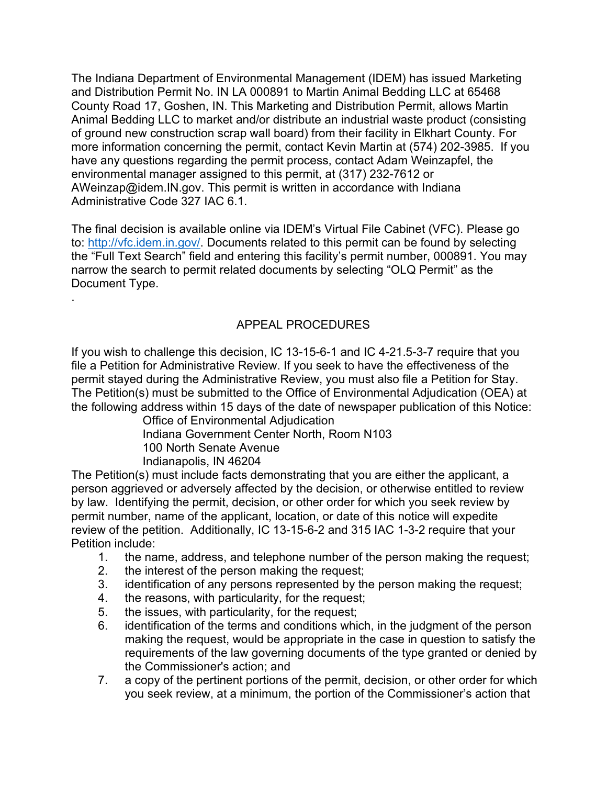The Indiana Department of Environmental Management (IDEM) has issued Marketing and Distribution Permit No. IN LA 000891 to Martin Animal Bedding LLC at 65468 County Road 17, Goshen, IN. This Marketing and Distribution Permit, allows Martin Animal Bedding LLC to market and/or distribute an industrial waste product (consisting of ground new construction scrap wall board) from their facility in Elkhart County. For more information concerning the permit, contact Kevin Martin at (574) 202-3985. If you have any questions regarding the permit process, contact Adam Weinzapfel, the environmental manager assigned to this permit, at (317) 232-7612 or AWeinzap@idem.IN.gov. This permit is written in accordance with Indiana Administrative Code 327 IAC 6.1.

The final decision is available online via IDEM's Virtual File Cabinet (VFC). Please go to: [http://vfc.idem.in.gov/.](http://vfc.idem.in.gov/) Documents related to this permit can be found by selecting the "Full Text Search" field and entering this facility's permit number, 000891. You may narrow the search to permit related documents by selecting "OLQ Permit" as the Document Type.

## APPEAL PROCEDURES

If you wish to challenge this decision, IC 13-15-6-1 and IC 4-21.5-3-7 require that you file a Petition for Administrative Review. If you seek to have the effectiveness of the permit stayed during the Administrative Review, you must also file a Petition for Stay. The Petition(s) must be submitted to the Office of Environmental Adjudication (OEA) at the following address within 15 days of the date of newspaper publication of this Notice:

Office of Environmental Adjudication Indiana Government Center North, Room N103 100 North Senate Avenue Indianapolis, IN 46204

The Petition(s) must include facts demonstrating that you are either the applicant, a person aggrieved or adversely affected by the decision, or otherwise entitled to review by law. Identifying the permit, decision, or other order for which you seek review by permit number, name of the applicant, location, or date of this notice will expedite review of the petition. Additionally, IC 13-15-6-2 and 315 IAC 1-3-2 require that your Petition include:

- 1. the name, address, and telephone number of the person making the request;<br>2. the interest of the person making the request:
- the interest of the person making the request;

.

- 3. identification of any persons represented by the person making the request;
- 4. the reasons, with particularity, for the request;
- 5. the issues, with particularity, for the request;
- 6. identification of the terms and conditions which, in the judgment of the person making the request, would be appropriate in the case in question to satisfy the requirements of the law governing documents of the type granted or denied by the Commissioner's action; and
- 7. a copy of the pertinent portions of the permit, decision, or other order for which you seek review, at a minimum, the portion of the Commissioner's action that